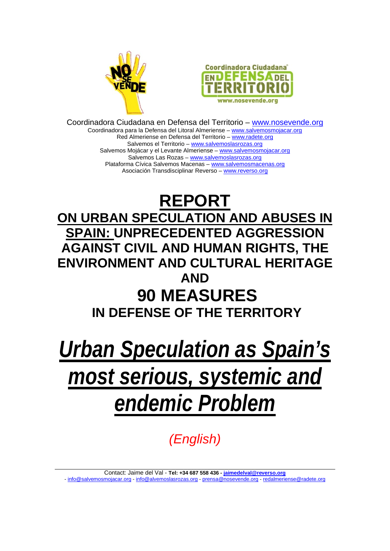



Coordinadora Ciudadana en Defensa del Territorio – www.nosevende.org Coordinadora para la Defensa del Litoral Almeriense – www.salvemosmojacar.org Red Almeriense en Defensa del Territorio – www.radete.org Salvemos el Territorio – www.salvemoslasrozas.org Salvemos Mojácar y el Levante Almeriense – www.salvemosmojacar.org Salvemos Las Rozas – www.salvemoslasrozas.org Plataforma Cívica Salvemos Macenas – www.salvemosmacenas.org Asociación Transdisciplinar Reverso – www.reverso.org

## **REPORT ON URBAN SPECULATION AND ABUSES IN SPAIN: UNPRECEDENTED AGGRESSION AGAINST CIVIL AND HUMAN RIGHTS, THE ENVIRONMENT AND CULTURAL HERITAGE AND 90 MEASURES IN DEFENSE OF THE TERRITORY**

*Urban Speculation as Spain's most serious, systemic and endemic Problem*

*(English)*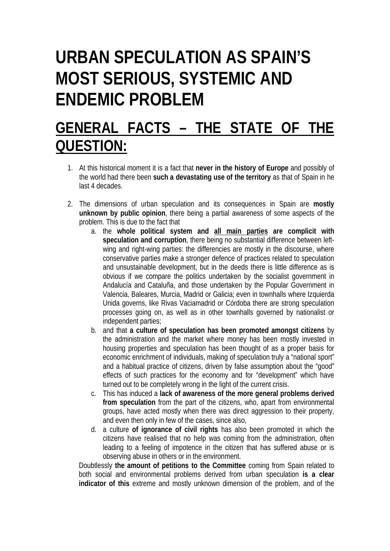# **URBAN SPECULATION AS SPAIN'S MOST SERIOUS, SYSTEMIC AND ENDEMIC PROBLEM**

## **GENERAL FACTS – THE STATE OF THE QUESTION:**

- 1. At this historical moment it is a fact that **never in the history of Europe** and possibly of the world had there been **such a devastating use of the territory** as that of Spain in he last 4 decades.
- 2. The dimensions of urban speculation and its consequences in Spain are **mostly unknown by public opinion**, there being a partial awareness of some aspects of the problem. This is due to the fact that
	- a. the **whole political system and all main parties are complicit with speculation and corruption**, there being no substantial difference between leftwing and right-wing parties: the differencies are mostly in the discourse, where conservative parties make a stronger defence of practices related to speculation and unsustainable development, but in the deeds there is little difference as is obvious if we compare the politics undertaken by the socialist government in Andalucía and Cataluña, and those undertaken by the Popular Government in Valencia, Baleares, Murcia, Madrid or Galicia; even in townhalls where Izquierda Unida governs, like Rivas Vaciamadrid or Córdoba there are strong speculation processes going on, as well as in other townhalls governed by nationalist or independent parties;
	- b. and that **a culture of speculation has been promoted amongst citizens** by the administration and the market where money has been mostly invested in housing properties and speculation has been thought of as a proper basis for economic enrichment of individuals, making of speculation truly a "national sport" and a habitual practice of citizens, driven by false assumption about the "good" effects of such practices for the economy and for "development" which have turned out to be completely wrong in the light of the current crisis.
	- c. This has induced a **lack of awareness of the more general problems derived from speculation** from the part of the citizens, who, apart from environmental groups, have acted mostly when there was direct aggression to their property, and even then only in few of the cases, since also,
	- d. a culture **of ignorance of civil rights** has also been promoted in which the citizens have realised that no help was coming from the administration, often leading to a feeling of impotence in the citizen that has suffered abuse or is observing abuse in others or in the environment.

Doubtlessly **the amount of petitions to the Committee** coming from Spain related to both social and environmental problems derived from urban speculation **is a clear indicator of this** extreme and mostly unknown dimension of the problem, and of the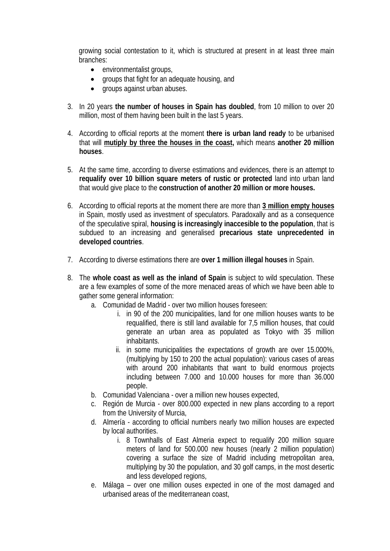growing social contestation to it, which is structured at present in at least three main branches:

- environmentalist groups,
- groups that fight for an adequate housing, and
- groups against urban abuses.
- 3. In 20 years **the number of houses in Spain has doubled**, from 10 million to over 20 million, most of them having been built in the last 5 years.
- 4. According to official reports at the moment **there is urban land ready** to be urbanised that will **mutiply by three the houses in the coast,** which means **another 20 million houses**.
- 5. At the same time, according to diverse estimations and evidences, there is an attempt to **requalify over 10 billion square meters of rustic or protected** land into urban land that would give place to the **construction of another 20 million or more houses.**
- 6. According to official reports at the moment there are more than **3 million empty houses** in Spain, mostly used as investment of speculators. Paradoxally and as a consequence of the speculative spiral, **housing is increasingly inaccesible to the population**, that is subdued to an increasing and generalised **precarious state unprecedented in developed countries**.
- 7. According to diverse estimations there are **over 1 million illegal houses** in Spain.
- 8. The **whole coast as well as the inland of Spain** is subject to wild speculation. These are a few examples of some of the more menaced areas of which we have been able to gather some general information:
	- a. Comunidad de Madrid over two million houses foreseen:
		- i. in 90 of the 200 municipalities, land for one million houses wants to be requalified, there is still land available for 7,5 million houses, that could generate an urban area as populated as Tokyo with 35 million inhabitants.
		- ii. in some municipalities the expectations of growth are over 15.000%, (multiplying by 150 to 200 the actual population): various cases of areas with around 200 inhabitants that want to build enormous projects including between 7.000 and 10.000 houses for more than 36.000 people.
	- b. Comunidad Valenciana over a million new houses expected,
	- c. Región de Murcia over 800.000 expected in new plans according to a report from the University of Murcia,
	- d. Almería according to official numbers nearly two million houses are expected by local authorities.
		- i. 8 Townhalls of East Almeria expect to requalify 200 million square meters of land for 500.000 new houses (nearly 2 million population) covering a surface the size of Madrid including metropolitan area, multiplying by 30 the population, and 30 golf camps, in the most desertic and less developed regions,
	- e. Málaga over one million ouses expected in one of the most damaged and urbanised areas of the mediterranean coast,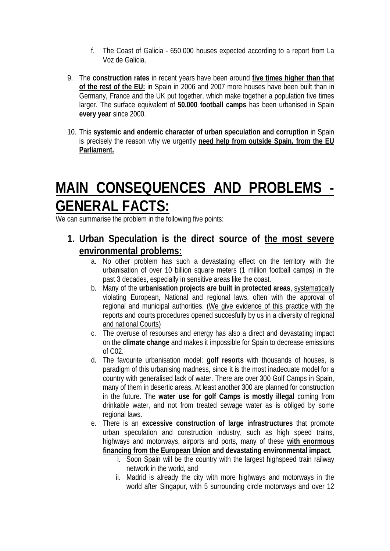- f. The Coast of Galicia 650.000 houses expected according to a report from La Voz de Galicia.
- 9. The **construction rates** in recent years have been around **five times higher than that of the rest of the EU:** in Spain in 2006 and 2007 more houses have been built than in Germany, France and the UK put together, which make together a population five times larger. The surface equivalent of **50.000 football camps** has been urbanised in Spain **every year** since 2000.
- 10. This **systemic and endemic character of urban speculation and corruption** in Spain is precisely the reason why we urgently **need help from outside Spain, from the EU Parliament.**

## **MAIN CONSEQUENCES AND PROBLEMS - GENERAL FACTS:**

We can summarise the problem in the following five points:

- **1. Urban Speculation is the direct source of the most severe environmental problems:**
	- a. No other problem has such a devastating effect on the territory with the urbanisation of over 10 billion square meters (1 million football camps) in the past 3 decades, especially in sensitive areas like the coast.
	- b. Many of the **urbanisation projects are built in protected areas**, systematically violating European, National and regional laws, often with the approval of regional and municipal authorities. (We give evidence of this practice with the reports and courts procedures opened succesfully by us in a diversity of regional and national Courts)
	- c. The overuse of resourses and energy has also a direct and devastating impact on the **climate change** and makes it impossible for Spain to decrease emissions of C02.
	- d. The favourite urbanisation model: **golf resorts** with thousands of houses, is paradigm of this urbanising madness, since it is the most inadecuate model for a country with generalised lack of water. There are over 300 Golf Camps in Spain, many of them in desertic areas. At least another 300 are planned for construction in the future. The **water use for golf Camps is mostly illegal** coming from drinkable water, and not from treated sewage water as is obliged by some regional laws.
	- e. There is an **excessive construction of large infrastructures** that promote urban speculation and construction industry, such as high speed trains, highways and motorways, airports and ports, many of these **with enormous financing from the European Union and devastating environmental impact.**
		- i. Soon Spain will be the country with the largest highspeed train railway network in the world, and
		- ii. Madrid is already the city with more highways and motorways in the world after Singapur, with 5 surrounding circle motorways and over 12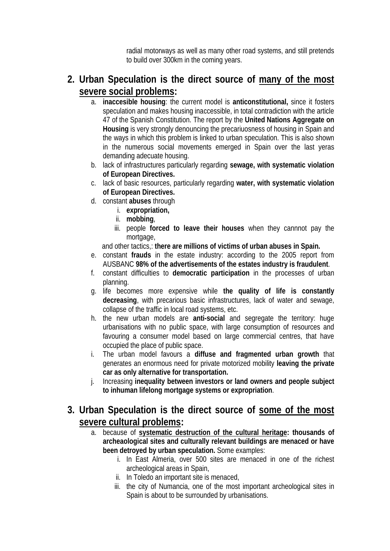radial motorways as well as many other road systems, and still pretends to build over 300km in the coming years.

### **2. Urban Speculation is the direct source of many of the most severe social problems:**

- a. **inaccesible housing**: the current model is **anticonstitutional,** since it fosters speculation and makes housing inaccessible, in total contradiction with the article 47 of the Spanish Constitution. The report by the **United Nations Aggregate on Housing** is very strongly denouncing the precariuosness of housing in Spain and the ways in which this problem is linked to urban speculation. This is also shown in the numerous social movements emerged in Spain over the last yeras demanding adecuate housing.
- b. lack of infrastructures particularly regarding **sewage, with systematic violation of European Directives.**
- c. lack of basic resources, particularly regarding **water, with systematic violation of European Directives.**
- d. constant **abuses** through
	- i. **expropriation,**
	- ii. **mobbing**,
	- iii. people **forced to leave their houses** when they cannnot pay the mortgage,

and other tactics,: **there are millions of victims of urban abuses in Spain.**

- e. constant **frauds** in the estate industry: according to the 2005 report from AUSBANC **98% of the advertisements of the estates industry is fraudulent**.
- f. constant difficulties to **democratic participation** in the processes of urban planning.
- g. life becomes more expensive while **the quality of life is constantly decreasing**, with precarious basic infrastructures, lack of water and sewage, collapse of the traffic in local road systems, etc.
- h. the new urban models are **anti-social** and segregate the territory: huge urbanisations with no public space, with large consumption of resources and favouring a consumer model based on large commercial centres, that have occupied the place of public space.
- i. The urban model favours a **diffuse and fragmented urban growth** that generates an enormous need for private motorized mobility **leaving the private car as only alternative for transportation.**
- j. Increasing **inequality between investors or land owners and people subject to inhuman lifelong mortgage systems or expropriation**.

### **3. Urban Speculation is the direct source of some of the most severe cultural problems:**

- a. because of **systematic destruction of the cultural heritage: thousands of archeaological sites and culturally relevant buildings are menaced or have been detroyed by urban speculation.** Some examples:
	- i. In East Almeria, over 500 sites are menaced in one of the richest archeological areas in Spain,
	- ii. In Toledo an important site is menaced,
	- iii. the city of Numancia, one of the most important archeological sites in Spain is about to be surrounded by urbanisations.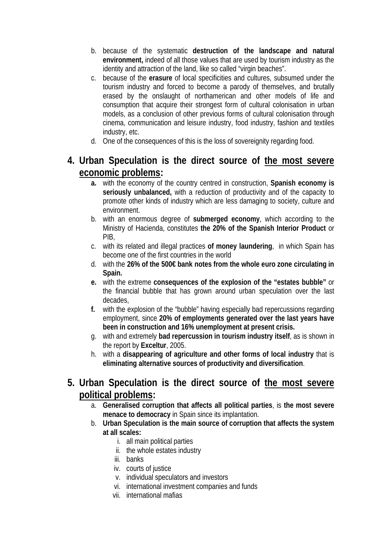- b. because of the systematic **destruction of the landscape and natural environment,** indeed of all those values that are used by tourism industry as the identity and attraction of the land, like so called "virgin beaches".
- c. because of the **erasure** of local specificities and cultures, subsumed under the tourism industry and forced to become a parody of themselves, and brutally erased by the onslaught of northamerican and other models of life and consumption that acquire their strongest form of cultural colonisation in urban models, as a conclusion of other previous forms of cultural colonisation through cinema, communication and leisure industry, food industry, fashion and textiles industry, etc.
- d. One of the consequences of this is the loss of sovereignity regarding food.
- **4. Urban Speculation is the direct source of the most severe economic problems:** 
	- **a.** with the economy of the country centred in construction, **Spanish economy is seriously unbalanced,** with a reduction of productivity and of the capacity to promote other kinds of industry which are less damaging to society, culture and environment.
	- b. with an enormous degree of **submerged economy**, which according to the Ministry of Hacienda, constitutes **the 20% of the Spanish Interior Product** or PIB,
	- c. with its related and illegal practices **of money laundering**, in which Spain has become one of the first countries in the world
	- d. with the **26% of the 500€ bank notes from the whole euro zone circulating in Spain.**
	- **e.** with the extreme **consequences of the explosion of the "estates bubble"** or the financial bubble that has grown around urban speculation over the last decades,
	- **f.** with the explosion of the "bubble" having especially bad repercussions regarding employment, since **20% of employments generated over the last years have been in construction and 16% unemployment at present crisis.**
	- g. with and extremely **bad repercussion in tourism industry itself**, as is shown in the report by **Exceltur**, 2005.
	- h. with a **disappearing of agriculture and other forms of local industry** that is **eliminating alternative sources of productivity and diversification**.
- **5. Urban Speculation is the direct source of the most severe political problems:** 
	- a. **Generalised corruption that affects all political parties**, is **the most severe menace to democracy** in Spain since its implantation.
	- b. **Urban Speculation is the main source of corruption that affects the system at all scales:**
		- i. all main political parties
		- ii. the whole estates industry
		- iii. banks
		- iv. courts of justice
		- v. individual speculators and investors
		- vi. international investment companies and funds
		- vii. international mafias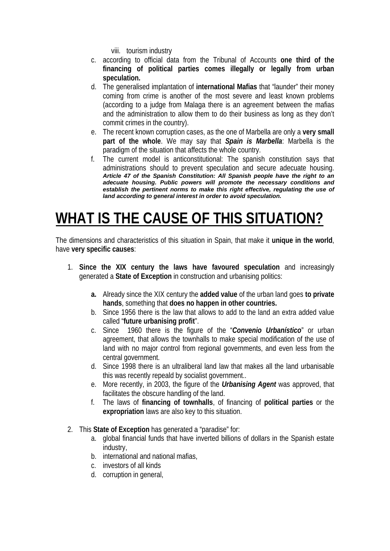viii. tourism industry

- c. according to official data from the Tribunal of Accounts **one third of the financing of political parties comes illegally or legally from urban speculation.**
- d. The generalised implantation of **international Mafias** that "launder" their money coming from crime is another of the most severe and least known problems (according to a judge from Malaga there is an agreement between the mafias and the administration to allow them to do their business as long as they don't commit crimes in the country).
- e. The recent known corruption cases, as the one of Marbella are only a **very small part of the whole**. We may say that *Spain is Marbella*: Marbella is the paradigm of the situation that affects the whole country.
- f. The current model is anticonstitutional: The spanish constitution says that administrations should to prevent speculation and secure adecuate housing. *Article 47 of the Spanish Constitution: All Spanish people have the right to an adecuate housing. Public powers will promote the necessary conditions and establish the pertinent norms to make this right effective, regulating the use of land according to general interest in order to avoid speculation.*

## **WHAT IS THE CAUSE OF THIS SITUATION?**

The dimensions and characteristics of this situation in Spain, that make it **unique in the world**, have **very specific causes**:

- 1. **Since the XIX century the laws have favoured speculation** and increasingly generated a **State of Exception** in construction and urbanising politics:
	- **a.** Already since the XIX century the **added value** of the urban land goes **to private hands**, something that **does no happen in other countries.**
	- b. Since 1956 there is the law that allows to add to the land an extra added value called "**future urbanising profit**".
	- c. Since 1960 there is the figure of the "*Convenio Urbanístico*" or urban agreement, that allows the townhalls to make special modification of the use of land with no major control from regional governments, and even less from the central government.
	- d. Since 1998 there is an ultraliberal land law that makes all the land urbanisable this was recently repeald by socialist government..
	- e. More recently, in 2003, the figure of the *Urbanising Agent* was approved, that facilitates the obscure handling of the land.
	- f. The laws of **financing of townhalls**, of financing of **political parties** or the **expropriation** laws are also key to this situation.
- 2. This **State of Exception** has generated a "paradise" for:
	- a. global financial funds that have inverted billions of dollars in the Spanish estate industry,
	- b. international and national mafias,
	- c. investors of all kinds
	- d. corruption in general,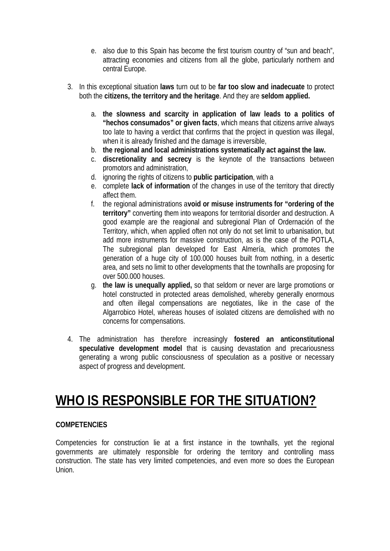- e. also due to this Spain has become the first tourism country of "sun and beach", attracting economies and citizens from all the globe, particularly northern and central Europe.
- 3. In this exceptional situation **laws** turn out to be **far too slow and inadecuate** to protect both the **citizens, the territory and the heritage**. And they are **seldom applied.**
	- a. **the slowness and scarcity in application of law leads to a politics of "hechos consumados" or given facts**, which means that citizens arrive always too late to having a verdict that confirms that the project in question was illegal, when it is already finished and the damage is irreversible,
	- b. **the regional and local administrations systematically act against the law.**
	- c. **discretionality and secrecy** is the keynote of the transactions between promotors and administration,
	- d. ignoring the rights of citizens to **public participation**, with a
	- e. complete **lack of information** of the changes in use of the territory that directly affect them.
	- f. the regional administrations a**void or misuse instruments for "ordering of the territory"** converting them into weapons for territorial disorder and destruction. A good example are the reagional and subregional Plan of Ordernación of the Territory, which, when applied often not only do not set limit to urbanisation, but add more instruments for massive construction, as is the case of the POTLA, The subregional plan developed for East Almería, which promotes the generation of a huge city of 100.000 houses built from nothing, in a desertic area, and sets no limit to other developments that the townhalls are proposing for over 500.000 houses.
	- g. **the law is unequally applied,** so that seldom or never are large promotions or hotel constructed in protected areas demolished, whereby generally enormous and often illegal compensations are negotiates, like in the case of the Algarrobico Hotel, whereas houses of isolated citizens are demolished with no concerns for compensations.
- 4. The administration has therefore increasingly **fostered an anticonstitutional speculative development model** that is causing devastation and precariousness generating a wrong public consciousness of speculation as a positive or necessary aspect of progress and development.

### **WHO IS RESPONSIBLE FOR THE SITUATION?**

#### **COMPETENCIES**

Competencies for construction lie at a first instance in the townhalls, yet the regional governments are ultimately responsible for ordering the territory and controlling mass construction. The state has very limited competencies, and even more so does the European Union.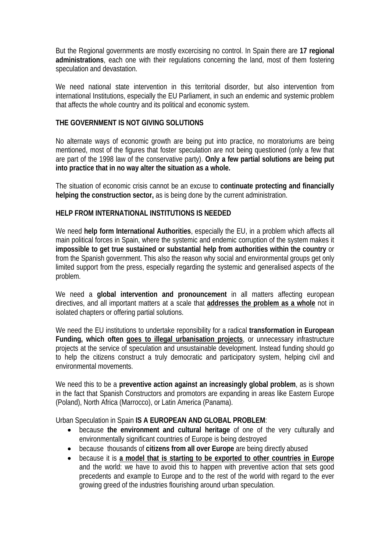But the Regional governments are mostly excercising no control. In Spain there are **17 regional administrations**, each one with their regulations concerning the land, most of them fostering speculation and devastation.

We need national state intervention in this territorial disorder, but also intervention from international Institutions, especially the EU Parliament, in such an endemic and systemic problem that affects the whole country and its political and economic system.

#### **THE GOVERNMENT IS NOT GIVING SOLUTIONS**

No alternate ways of economic growth are being put into practice, no moratoriums are being mentioned, most of the figures that foster speculation are not being questioned (only a few that are part of the 1998 law of the conservative party). **Only a few partial solutions are being put into practice that in no way alter the situation as a whole.**

The situation of economic crisis cannot be an excuse to **continuate protecting and financially helping the construction sector,** as is being done by the current administration.

#### **HELP FROM INTERNATIONAL INSTITUTIONS IS NEEDED**

We need **help form International Authorities**, especially the EU, in a problem which affects all main political forces in Spain, where the systemic and endemic corruption of the system makes it **impossible to get true sustained or substantial help from authorities within the country** or from the Spanish government. This also the reason why social and environmental groups get only limited support from the press, especially regarding the systemic and generalised aspects of the problem.

We need a **global intervention and pronouncement** in all matters affecting european directives, and all important matters at a scale that **addresses the problem as a whole** not in isolated chapters or offering partial solutions.

We need the EU institutions to undertake reponsibility for a radical **transformation in European Funding, which often goes to illegal urbanisation projects**, or unnecessary infrastructure projects at the service of speculation and unsustainable development. Instead funding should go to help the citizens construct a truly democratic and participatory system, helping civil and environmental movements.

We need this to be a **preventive action against an increasingly global problem**, as is shown in the fact that Spanish Constructors and promotors are expanding in areas like Eastern Europe (Poland), North Africa (Marrocco), or Latin America (Panama).

Urban Speculation in Spain **IS A EUROPEAN AND GLOBAL PROBLEM**:

- because **the environment and cultural heritage** of one of the very culturally and environmentally significant countries of Europe is being destroyed
- because thousands of **citizens from all over Europe** are being directly abused
- because it is **a model that is starting to be exported to other countries in Europe** and the world: we have to avoid this to happen with preventive action that sets good precedents and example to Europe and to the rest of the world with regard to the ever growing greed of the industries flourishing around urban speculation.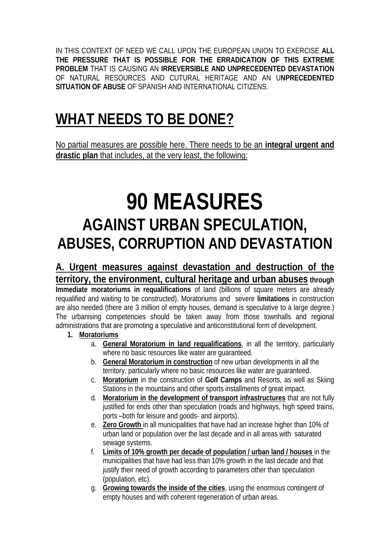IN THIS CONTEXT OF NEED WE CALL UPON THE EUROPEAN UNION TO EXERCISE **ALL THE PRESSURE THAT IS POSSIBLE FOR THE ERRADICATION OF THIS EXTREME PROBLEM** THAT IS CAUSING AN **IRREVERSIBLE AND UNPRECEDENTED DEVASTATION** OF NATURAL RESOURCES AND CUTURAL HERITAGE AND AN U**NPRECEDENTED SITUATION OF ABUSE** OF SPANISH AND INTERNATIONAL CITIZENS.

## **WHAT NEEDS TO BE DONE?**

No partial measures are possible here. There needs to be an **integral urgent and drastic plan** that includes, at the very least, the following:

# **90 MEASURES AGAINST URBAN SPECULATION, ABUSES, CORRUPTION AND DEVASTATION**

**A. Urgent measures against devastation and destruction of the territory, the environment, cultural heritage and urban abuses through Immediate moratoriums in requalifications** of land (billions of square meters are already requalified and waiting to be constructed). Moratoriums and severe **limitations** in construction are also needed (there are 3 million of empty houses, demand is speculative to a large degree.) The urbanising competencies should be taken away from those townhalls and regional administrations that are promoting a speculative and anticonstitutional form of development.

- **1. Moratoriums**
	- a. **General Moratorium in land requalifications**, in all the territory, particularly where no basic resources like water are guaranteed.
	- b. **General Moratorium in construction** of new urban developments in all the territory, particularly where no basic resources like water are guaranteed.
	- c. **Moratorium** in the construction of **Golf Camps** and Resorts, as well as Skiing Stations in the mountains and other sports installments of great impact.
	- d. **Moratorium in the development of transport infrastructures** that are not fully justified for ends other than speculation (roads and highways, high speed trains, ports –both for leisure and goods- and airports).
	- e. **Zero Growth** in all municipalities that have had an increase higher than 10% of urban land or population over the last decade and in all areas with saturated sewage systems.
	- f. **Limits of 10% growth per decade of population / urban land / houses** in the municipalities that have had less than 10% growth in the last decade and that justify their need of growth according to parameters other than speculation (population, etc).
	- g. **Growing towards the inside of the cities**, using the enormous contingent of empty houses and with coherent regeneration of urban areas.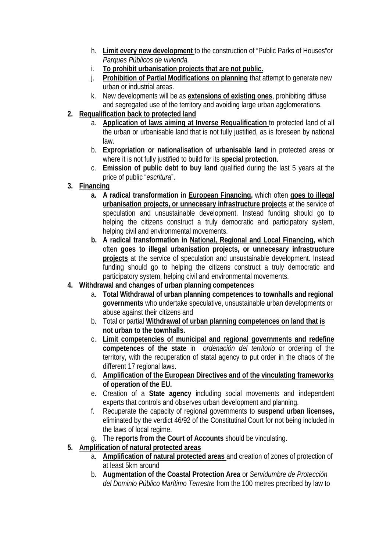- h. **Limit every new development** to the construction of "Public Parks of Houses"or *Parques Públicos de vivienda.*
- i. **To prohibit urbanisation projects that are not public.**
- j. **Prohibition of Partial Modifications on planning** that attempt to generate new urban or industrial areas.
- k. New developments will be as **extensions of existing ones**, prohibiting diffuse and segregated use of the territory and avoiding large urban agglomerations.
- **2. Requalification back to protected land** 
	- a. **Application of laws aiming at Inverse Requalification** to protected land of all the urban or urbanisable land that is not fully justified, as is foreseen by national law.
	- b. **Expropriation or nationalisation of urbanisable land** in protected areas or where it is not fully justified to build for its **special protection**.
	- c. **Emission of public debt to buy land** qualified during the last 5 years at the price of public "*escritura*".
- **3. Financing**
	- **a. A radical transformation in European Financing,** which often **goes to illegal urbanisation projects, or unnecesary infrastructure projects** at the service of speculation and unsustainable development. Instead funding should go to helping the citizens construct a truly democratic and participatory system, helping civil and environmental movements.
	- **b. A radical transformation in National, Regional and Local Financing,** which often **goes to illegal urbanisation projects, or unnecesary infrastructure projects** at the service of speculation and unsustainable development. Instead funding should go to helping the citizens construct a truly democratic and participatory system, helping civil and environmental movements.
- **4. Withdrawal and changes of urban planning competences** 
	- a. **Total Withdrawal of urban planning competences to townhalls and regional governments** who undertake speculative, unsustainable urban developments or abuse against their citizens and
	- b. Total or partial **Withdrawal of urban planning competences on land that is not urban to the townhalls.**
	- c. **Limit competencies of municipal and regional governments and redefine competences of the state** in *ordenación del territorio* or ordering of the territory, with the recuperation of statal agency to put order in the chaos of the different 17 regional laws.
	- d. **Amplification of the European Directives and of the vinculating frameworks of operation of the EU.**
	- e. Creation of a **State agency** including social movements and independent experts that controls and observes urban development and planning.
	- f. Recuperate the capacity of regional governments to **suspend urban licenses,** eliminated by the verdict 46/92 of the Constitutinal Court for not being included in the laws of local regime.
	- g. The **reports from the Court of Accounts** should be vinculating.
- **5. Amplification of natural protected areas**
	- a. **Amplification of natural protected areas** and creation of zones of protection of at least 5km around
	- b. **Augmentation of the Coastal Protection Area** or *Servidumbre de Protección del Dominio Público Marítimo Terrestre* from the 100 metres precribed by law to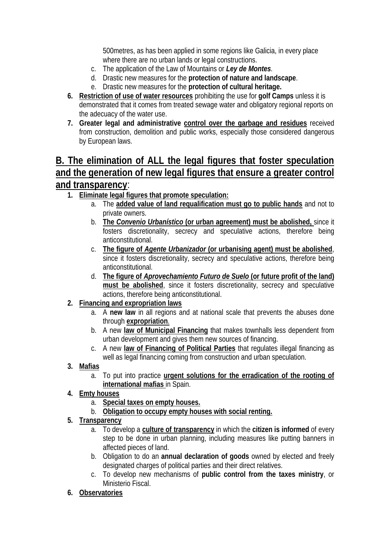500metres, as has been applied in some regions like Galicia, in every place where there are no urban lands or legal constructions.

- c. The application of the Law of Mountains or *Ley de Montes*.
- d. Drastic new measures for the **protection of nature and landscape**.
- e. Drastic new measures for the **protection of cultural heritage.**
- **6. Restriction of use of water resources** prohibiting the use for **golf Camps** unless it is demonstrated that it comes from treated sewage water and obligatory regional reports on the adecuacy of the water use.
- **7. Greater legal and administrative control over the garbage and residues** received from construction, demolition and public works, especially those considered dangerous by European laws.

### **B. The elimination of ALL the legal figures that foster speculation and the generation of new legal figures that ensure a greater control and transparency**:

- **1. Eliminate legal figures that promote speculation:**
	- a. The **added value of land requalification must go to public hands** and not to private owners.
	- b. **The** *Convenio Urbanístico* **(or urban agreement) must be abolished,** since it fosters discretionality, secrecy and speculative actions, therefore being anticonstitutional.
	- c. **The figure of** *Agente Urbanizador* **(or urbanising agent) must be abolished**, since it fosters discretionality, secrecy and speculative actions, therefore being anticonstitutional.
	- d. **The figure of** *Aprovechamiento Futuro de Suelo* **(or future profit of the land) must be abolished**, since it fosters discretionality, secrecy and speculative actions, therefore being anticonstitutional.
- **2. Financing and expropriation laws**
	- a. A **new law** in all regions and at national scale that prevents the abuses done through **expropriation**.
	- b. A new **law of Municipal Financing** that makes townhalls less dependent from urban development and gives them new sources of financing.
	- c. A new **law of Financing of Political Parties** that regulates illegal financing as well as legal financing coming from construction and urban speculation.
- **3. Mafias**
	- a. To put into practice **urgent solutions for the erradication of the rooting of international mafias** in Spain.
- **4. Emty houses**
	- a. **Special taxes on empty houses.**
	- b. **Obligation to occupy empty houses with social renting.**
- **5. Transparency**
	- a. To develop a **culture of transparency** in which the **citizen is informed** of every step to be done in urban planning, including measures like putting banners in affected pieces of land.
	- b. Obligation to do an **annual declaration of goods** owned by elected and freely designated charges of political parties and their direct relatives.
	- c. To develop new mechanisms of **public control from the taxes ministry**, or Ministerio Fiscal.
- **6. Observatories**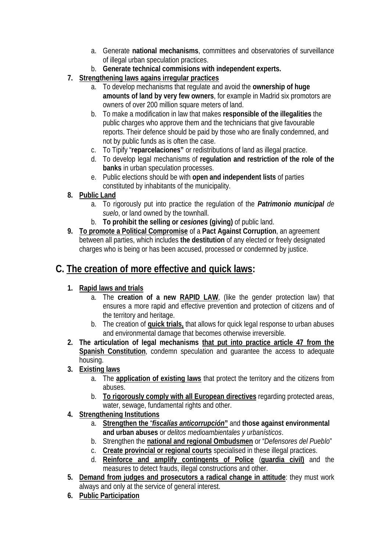- a. Generate **national mechanisms**, committees and observatories of surveillance of illegal urban speculation practices.
- b. **Generate technical commisions with independent experts.**
- **7. Strengthening laws agains irregular practices**
	- a. To develop mechanisms that regulate and avoid the **ownership of huge amounts of land by very few owners**, for example in Madrid six promotors are owners of over 200 million square meters of land.
	- b. To make a modification in law that makes **responsible of the illegalities** the public charges who approve them and the technicians that give favourable reports. Their defence should be paid by those who are finally condemned, and not by public funds as is often the case.
	- c. To Tipify "**reparcelaciones"** or redistributions of land as illegal practice.
	- d. To develop legal mechanisms of **regulation and restriction of the role of the banks** in urban speculation processes.
	- e. Public elections should be with **open and independent lists** of parties constituted by inhabitants of the municipality.
- **8. Public Land**
	- a. To rigorously put into practice the regulation of the *Patrimonio municipal de suelo*, or land owned by the townhall.
	- b. **To prohibit the selling or** *cesiones* **(giving)** of public land.
- **9. To promote a Political Compromise** of a **Pact Against Corruption**, an agreement between all parties, which includes **the destitution** of any elected or freely designated charges who is being or has been accused, processed or condemned by justice.

### **C. The creation of more effective and quick laws:**

- **1. Rapid laws and trials**
	- a. The **creation of a new RAPID LAW**, (like the gender protection law) that ensures a more rapid and effective prevention and protection of citizens and of the territory and heritage.
	- b. The creation of **quick trials,** that allows for quick legal response to urban abuses and environmental damage that becomes otherwise irreversible.
- **2. The articulation of legal mechanisms that put into practice article 47 from the Spanish Constitution**, condemn speculation and guarantee the access to adequate housing.
- **3. Existing laws**
	- a. The **application of existing laws** that protect the territory and the citizens from abuses.
	- b. **To rigorously comply with all European directives** regarding protected areas, water, sewage, fundamental rights and other.
- **4. Strengthening Institutions**
	- a. **Strengthen the** "*fiscalías anticorrupción***"** and **those against environmental and urban abuses** or *delitos medioambientales y urbanísticos*.
	- b. Strengthen the **national and regional Ombudsmen** or "*Defensores del Pueblo*"
	- c. **Create provincial or regional courts** specialised in these illegal practices.
	- d. **Reinforce and amplify contingents of Police** (**guardia civil)** and the measures to detect frauds, illegal constructions and other.
- **5. Demand from judges and prosecutors a radical change in attitude**: they must work always and only at the service of general interest.
- **6. Public Participation**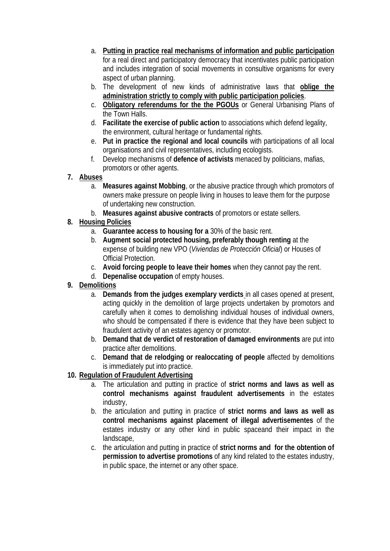- a. **Putting in practice real mechanisms of information and public participation** for a real direct and participatory democracy that incentivates public participation and includes integration of social movements in consultive organisms for every aspect of urban planning.
- b. The development of new kinds of administrative laws that **oblige the administration strictly to comply with public participation policies**.
- c. **Obligatory referendums for the the PGOUs** or General Urbanising Plans of the Town Halls.
- d. **Facilitate the exercise of public action** to associations which defend legality, the environment, cultural heritage or fundamental rights.
- e. **Put in practice the regional and local councils** with participations of all local organisations and civil representatives, including ecologists.
- f. Develop mechanisms of **defence of activists** menaced by politicians, mafias, promotors or other agents.
- **7. Abuses**
	- a. **Measures against Mobbing**, or the abusive practice through which promotors of owners make pressure on people living in houses to leave them for the purpose of undertaking new construction.
	- b. **Measures against abusive contracts** of promotors or estate sellers.
- **8. Housing Policies**
	- a. **Guarantee access to housing for a** 30% of the basic rent.
	- b. **Augment social protected housing, preferably though renting** at the expense of building new VPO (*Viviendas de Protección Oficial*) or Houses of Official Protection.
	- c. **Avoid forcing people to leave their homes** when they cannot pay the rent.
	- d. **Depenalise occupation** of empty houses.
- **9. Demolitions**
	- a. **Demands from the judges exemplary verdicts** in all cases opened at present, acting quickly in the demolition of large projects undertaken by promotors and carefully when it comes to demolishing individual houses of individual owners, who should be compensated if there is evidence that they have been subject to fraudulent activity of an estates agency or promotor.
	- b. **Demand that de verdict of restoration of damaged environments** are put into practice after demolitions.
	- c. **Demand that de relodging or realoccating of people** affected by demolitions is immediately put into practice.
- **10. Regulation of Fraudulent Advertising**
	- a. The articulation and putting in practice of **strict norms and laws as well as control mechanisms against fraudulent advertisements** in the estates industry,
	- b. the articulation and putting in practice of **strict norms and laws as well as control mechanisms against placement of illegal advertisementes** of the estates industry or any other kind in public spaceand their impact in the landscape,
	- c. the articulation and putting in practice of **strict norms and for the obtention of permission to advertise promotions** of any kind related to the estates industry, in public space, the internet or any other space.